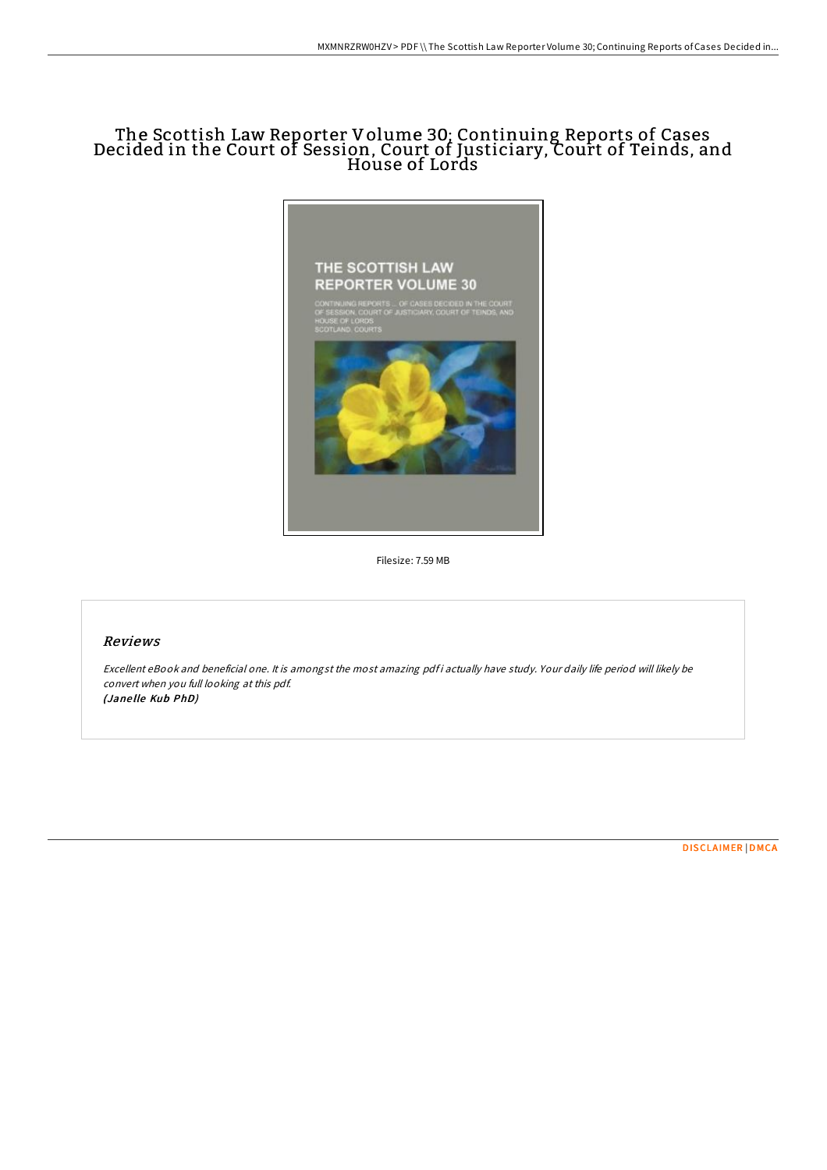## The Scottish Law Reporter Volume 30; Continuing Reports of Cases Decided in the Court of Session, Court of Justiciary, Court of Teinds, and House of Lords



Filesize: 7.59 MB

## Reviews

Excellent eBook and beneficial one. It is amongst the most amazing pdf i actually have study. Your daily life period will likely be convert when you full looking at this pdf. (Jane lle Kub PhD)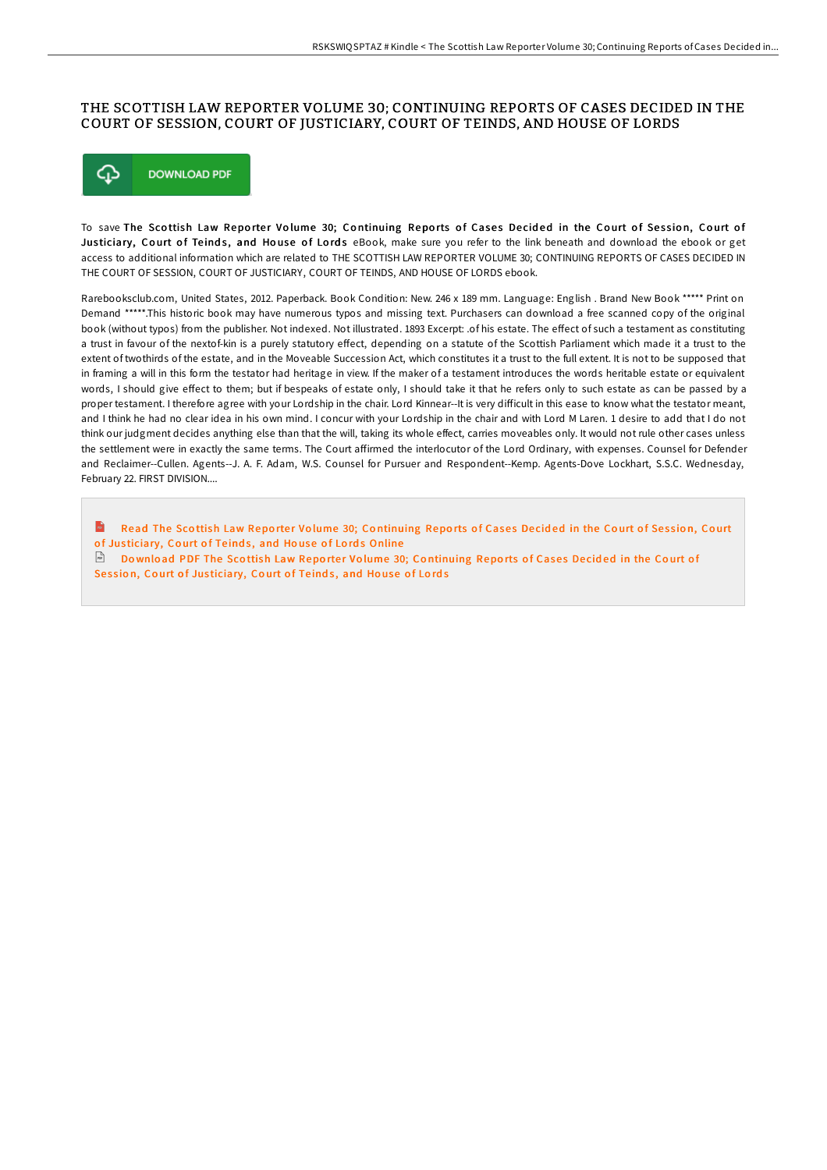## THE SCOTTISH LAW REPORTER VOLUME 30; CONTINUING REPORTS OF CASES DECIDED IN THE COURT OF SESSION, COURT OF JUSTICIARY, COURT OF TEINDS, AND HOUSE OF LORDS



To save The Scottish Law Reporter Volume 30; Continuing Reports of Cases Decided in the Court of Session, Court of Justiciary, Court of Teinds, and House of Lords eBook, make sure you refer to the link beneath and download the ebook or get access to additional information which are related to THE SCOTTISH LAW REPORTER VOLUME 30; CONTINUING REPORTS OF CASES DECIDED IN THE COURT OF SESSION, COURT OF JUSTICIARY, COURT OF TEINDS, AND HOUSE OF LORDS ebook.

Rarebooksclub.com, United States, 2012. Paperback. Book Condition: New. 246 x 189 mm. Language: English . Brand New Book \*\*\*\*\* Print on Demand \*\*\*\*\*.This historic book may have numerous typos and missing text. Purchasers can download a free scanned copy of the original book (without typos) from the publisher. Not indexed. Not illustrated. 1893 Excerpt: .of his estate. The effect of such a testament as constituting a trust in favour of the nextof-kin is a purely statutory effect, depending on a statute of the Scottish Parliament which made it a trust to the extent of twothirds of the estate, and in the Moveable Succession Act, which constitutes it a trust to the full extent. It is not to be supposed that in framing a will in this form the testator had heritage in view. If the maker of a testament introduces the words heritable estate or equivalent words, I should give effect to them; but if bespeaks of estate only, I should take it that he refers only to such estate as can be passed by a proper testament. I therefore agree with your Lordship in the chair. Lord Kinnear--It is very difficult in this ease to know what the testator meant, and I think he had no clear idea in his own mind. I concur with your Lordship in the chair and with Lord M Laren. 1 desire to add that I do not think our judgment decides anything else than that the will, taking its whole effect, carries moveables only. It would not rule other cases unless the settlement were in exactly the same terms. The Court affirmed the interlocutor of the Lord Ordinary, with expenses. Counsel for Defender and Reclaimer--Cullen. Agents--J. A. F. Adam, W.S. Counsel for Pursuer and Respondent--Kemp. Agents-Dove Lockhart, S.S.C. Wednesday, February 22. FIRST DIVISION....

 $\mathbf{m}$ Read The Scottish Law Reporter Volume 30; Co[ntinuing](http://almighty24.tech/the-scottish-law-reporter-volume-30-continuing-r.html) Reports of Cases Decided in the Court of Session, Court of Justiciary, Court of Teinds, and House of Lords Online  $\Box$  Download PDF The Scottish Law Reporter Volume 30; Co[ntinuing](http://almighty24.tech/the-scottish-law-reporter-volume-30-continuing-r.html) Reports of Cases Decided in the Court of Session, Court of Justiciary, Court of Teinds, and House of Lords